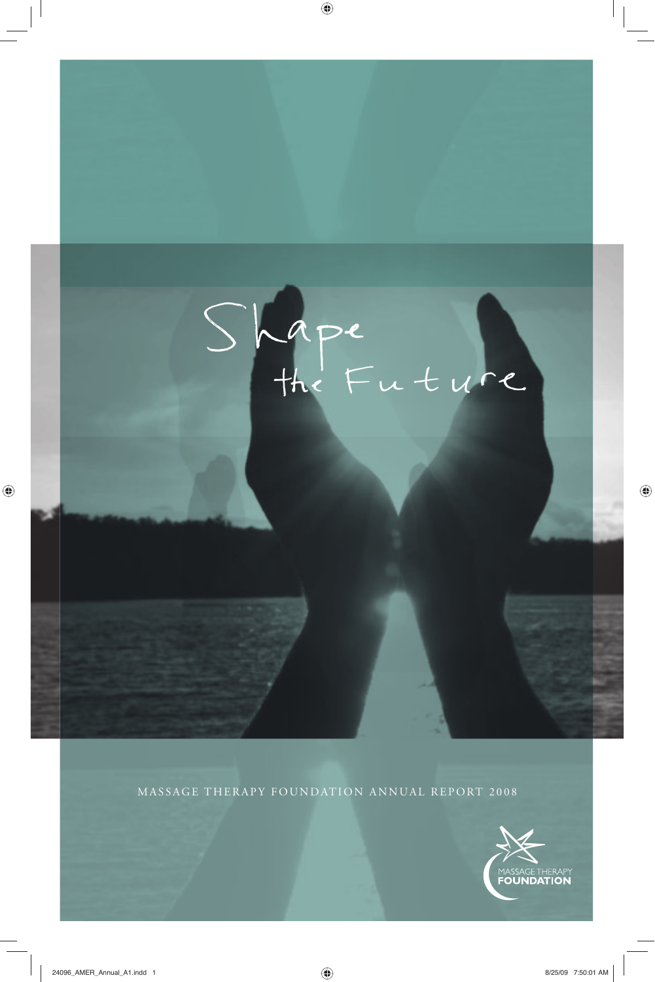# Shape<br>the Future

 $\bigoplus$ 

MASSAGE THERAPY FOUNDATION ANNUAL REPORT 2008

 $\bigoplus$ 

 $\bigoplus$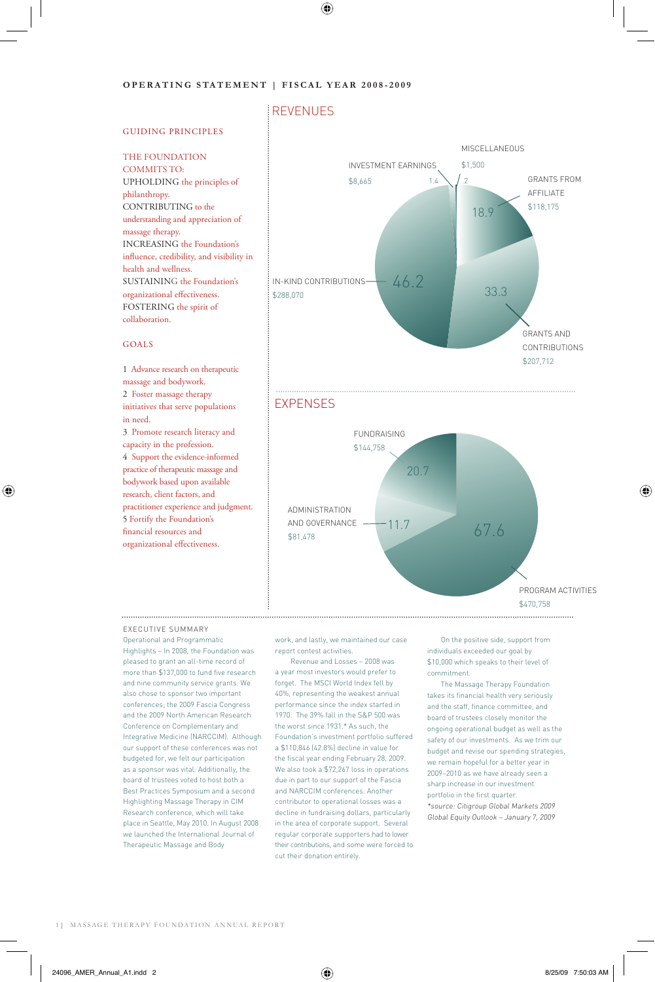### **OPERATING STATEMENT | FISCAL YEAR 2008-2009**

### REVENUES

⊕

### GUIDING PRINCIPLES

### THE FOUNDATION

COMMITS TO: UPHOLDING the principles of philanthropy. CONTRIBUTING to the understanding and appreciation of massage therapy. INCREASING the Foundation's influence, credibility, and visibility in health and wellness. SUSTAINING the Foundation's organizational effectiveness. FOSTERING the spirit of collaboration.

### GOALS

⊕

1 Advance research on therapeutic massage and bodywork. 2 Foster massage therapy initiatives that serve populations in need. 3 Promote research literacy and capacity in the profession. 4 Support the evidence-informed practice of therapeutic massage and bodywork based upon available research, client factors, and practitioner experience and judgment. 5 Fortify the Foundation's financial resources and organizational effectiveness.







### EXECUTIVE SUMMARY

Operational and Programmatic Highlights – In 2008, the Foundation was pleased to grant an all-time record of more than \$137,000 to fund five research and nine community service grants. We also chose to sponsor two important conferences; the 2009 Fascia Congress and the 2009 North American Research Conference on Complementary and Integrative Medicine (NARCCIM). Although our support of these conferences was not budgeted for, we felt our participation as a sponsor was vital. Additionally, the board of trustees voted to host both a Best Practices Symposium and a second Highlighting Massage Therapy in CIM Research conference, which will take place in Seattle, May 2010. In August 2008 we launched the International Journal of Therapeutic Massage and Body

work, and lastly, we maintained our case report contest activities.

 Revenue and Losses – 2008 was a year most investors would prefer to forget. The MSCI World Index fell by 40%, representing the weakest annual performance since the index started in 1970. The 39% fall in the S&P 500 was the worst since 1931.\* As such, the Foundation's investment portfolio suffered a \$110,846 (42.8%) decline in value for the fiscal year ending February 28, 2009. We also took a \$72,267 loss in operations due in part to our support of the Fascia and NARCCIM conferences. Another contributor to operational losses was a decline in fundraising dollars, particularly in the area of corporate support. Several regular corporate supporters had to lower their contributions, and some were forced to cut their donation entirely.

On the positive side, support from individuals exceeded our goal by \$10,000 which speaks to their level of commitment.

The Massage Therapy Foundation takes its financial health very seriously and the staff, finance committee, and board of trustees closely monitor the ongoing operational budget as well as the safety of our investments. As we trim our budget and revise our spending strategies, we remain hopeful for a better year in 2009–2010 as we have already seen a sharp increase in our investment portfolio in the first quarter.

\*source: Citigroup Global Markets 2009 Global Equity Outlook – January 7, 2009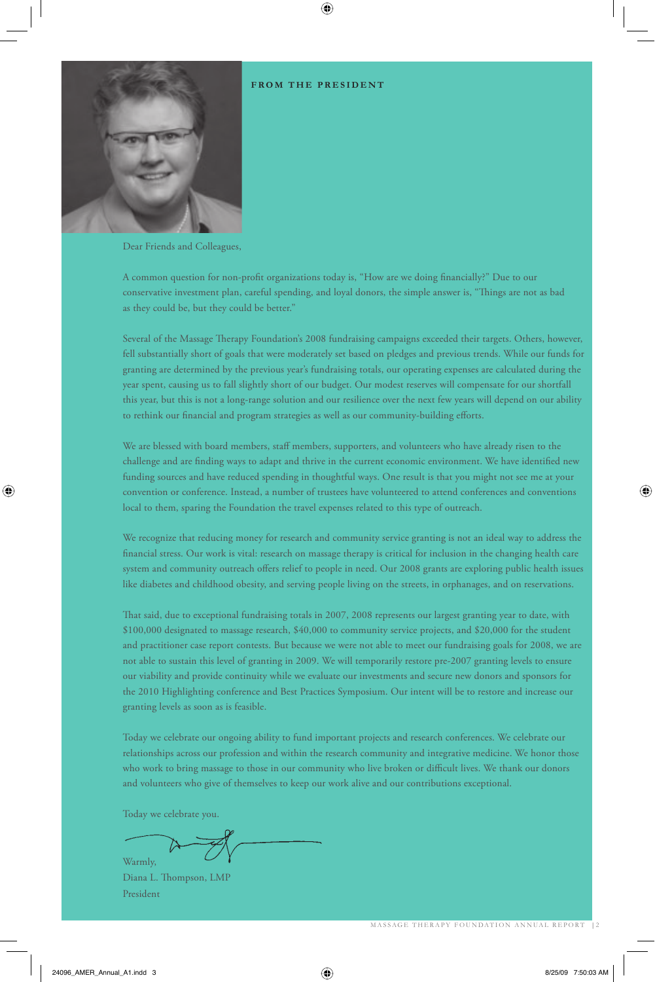### **FROM THE PRESIDENT**

⊕



Dear Friends and Colleagues,

A common question for non-profit organizations today is, "How are we doing financially?" Due to our conservative investment plan, careful spending, and loyal donors, the simple answer is, "Things are not as bad as they could be, but they could be better."

Several of the Massage Therapy Foundation's 2008 fundraising campaigns exceeded their targets. Others, however, fell substantially short of goals that were moderately set based on pledges and previous trends. While our funds for granting are determined by the previous year's fundraising totals, our operating expenses are calculated during the year spent, causing us to fall slightly short of our budget. Our modest reserves will compensate for our shortfall this year, but this is not a long-range solution and our resilience over the next few years will depend on our ability to rethink our financial and program strategies as well as our community-building efforts.

We are blessed with board members, staff members, supporters, and volunteers who have already risen to the challenge and are finding ways to adapt and thrive in the current economic environment. We have identified new funding sources and have reduced spending in thoughtful ways. One result is that you might not see me at your convention or conference. Instead, a number of trustees have volunteered to attend conferences and conventions local to them, sparing the Foundation the travel expenses related to this type of outreach.

We recognize that reducing money for research and community service granting is not an ideal way to address the financial stress. Our work is vital: research on massage therapy is critical for inclusion in the changing health care system and community outreach offers relief to people in need. Our 2008 grants are exploring public health issues like diabetes and childhood obesity, and serving people living on the streets, in orphanages, and on reservations.

That said, due to exceptional fundraising totals in 2007, 2008 represents our largest granting year to date, with \$100,000 designated to massage research, \$40,000 to community service projects, and \$20,000 for the student and practitioner case report contests. But because we were not able to meet our fundraising goals for 2008, we are not able to sustain this level of granting in 2009. We will temporarily restore pre-2007 granting levels to ensure our viability and provide continuity while we evaluate our investments and secure new donors and sponsors for the 2010 Highlighting conference and Best Practices Symposium. Our intent will be to restore and increase our granting levels as soon as is feasible.

Today we celebrate our ongoing ability to fund important projects and research conferences. We celebrate our relationships across our profession and within the research community and integrative medicine. We honor those who work to bring massage to those in our community who live broken or difficult lives. We thank our donors and volunteers who give of themselves to keep our work alive and our contributions exceptional.

Today we celebrate you.

Warmly,

Diana L. Thompson, LMP President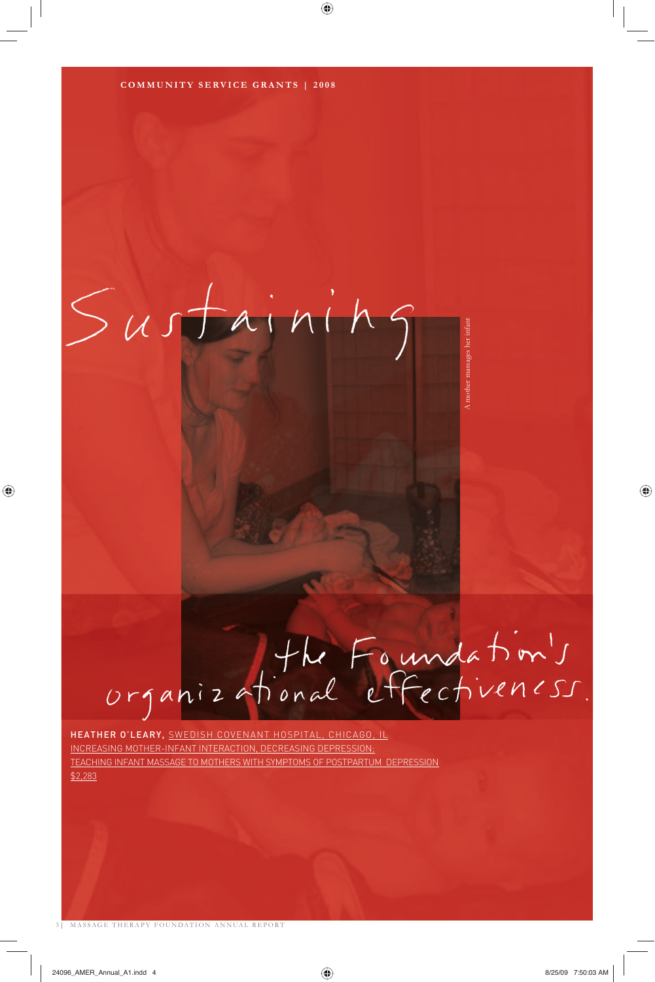◈

### Sustainin

## organizational effectiveness.

A mother massages her infant

nother massages her inf

HEATHER O'LEARY, SWEDISH COVENANT HOSPITAL, CHICAGO, IL INCREASING MOTHER-INFANT INTERACTION, DECREASING DEPRESSION: TEACHING INFANT MASSAGE TO MOTHERS WITH SYMPTOMS OF POSTPARTUM DEPRESSION \$2,283

3 | MASSAGE THERAPY FOUNDATION ANNUAL REPORT

◈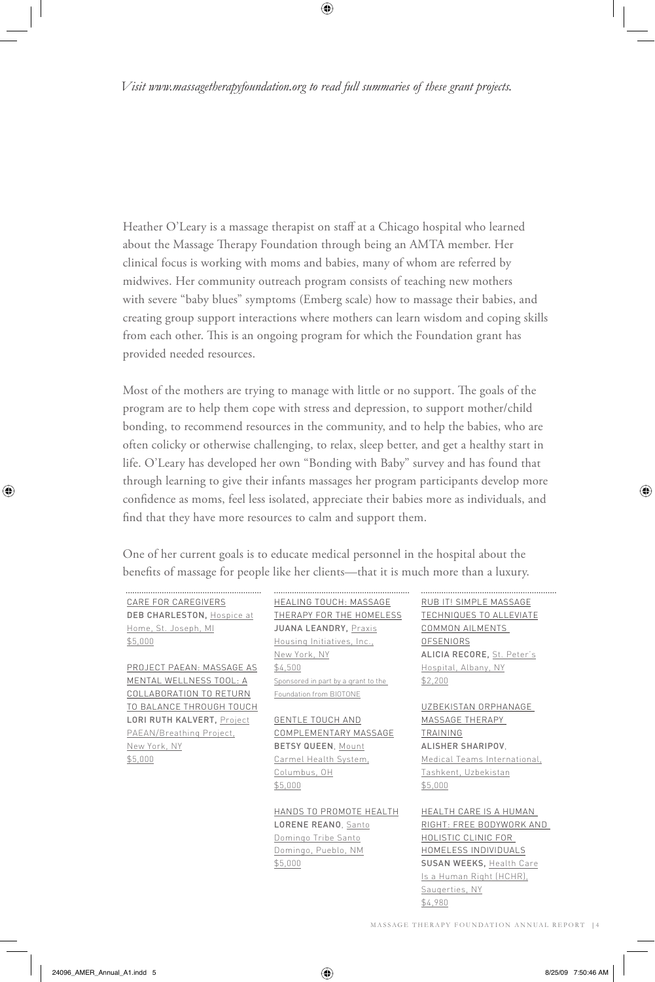*Visit www.massagetherapyfoundation.org to read full summaries of these grant projects.*

⊕

Heather O'Leary is a massage therapist on staff at a Chicago hospital who learned about the Massage Therapy Foundation through being an AMTA member. Her clinical focus is working with moms and babies, many of whom are referred by midwives. Her community outreach program consists of teaching new mothers with severe "baby blues" symptoms (Emberg scale) how to massage their babies, and creating group support interactions where mothers can learn wisdom and coping skills from each other. This is an ongoing program for which the Foundation grant has provided needed resources.

Most of the mothers are trying to manage with little or no support. The goals of the program are to help them cope with stress and depression, to support mother/child bonding, to recommend resources in the community, and to help the babies, who are often colicky or otherwise challenging, to relax, sleep better, and get a healthy start in life. O'Leary has developed her own "Bonding with Baby" survey and has found that through learning to give their infants massages her program participants develop more confidence as moms, feel less isolated, appreciate their babies more as individuals, and find that they have more resources to calm and support them.

One of her current goals is to educate medical personnel in the hospital about the benefits of massage for people like her clients—that it is much more than a luxury.

CARE FOR CAREGIVERS DEB CHARLESTON, Hospice at Home, St. Joseph, MI \$5,000

PROJECT PAEAN: MASSAGE AS MENTAL WELLNESS TOOL: A COLLABORATION TO RETURN TO BALANCE THROUGH TOUCH LORI RUTH KALVERT, Project PAEAN/Breathing Project, New York, NY \$5,000

### HEALING TOUCH: MASSAGE THERAPY FOR THE HOMELESS JUANA LEANDRY, Praxis Housing Initiatives, Inc., New York, NY

\$4,500 Sponsored in part by a grant to the Foundation from BIOTONE

GENTLE TOUCH AND COMPLEMENTARY MASSAGE BETSY QUEEN, Mount

Carmel Health System, Columbus, OH \$5,000

HANDS TO PROMOTE HEALTH LORENE REANO, Santo Domingo Tribe Santo Domingo, Pueblo, NM \$5,000

RUB IT! SIMPLE MASSAGE TECHNIQUES TO ALLEVIATE COMMON AILMENTS **OFSENIORS** ALICIA RECORE, St. Peter's Hospital, Albany, NY \$2,200

### UZBEKISTAN ORPHANAGE MASSAGE THERAPY TRAINING ALISHER SHARIPOV,

Medical Teams International, Tashkent, Uzbekistan \$5,000

HEALTH CARE IS A HUMAN RIGHT: FREE BODYWORK AND HOLISTIC CLINIC FOR HOMELESS INDIVIDUALS SUSAN WEEKS, Health Care Is a Human Right (HCHR), Saugerties, NY \$4,980

MASSAGE THERAPY FOUNDATION ANNUAL REPORT | 4

◈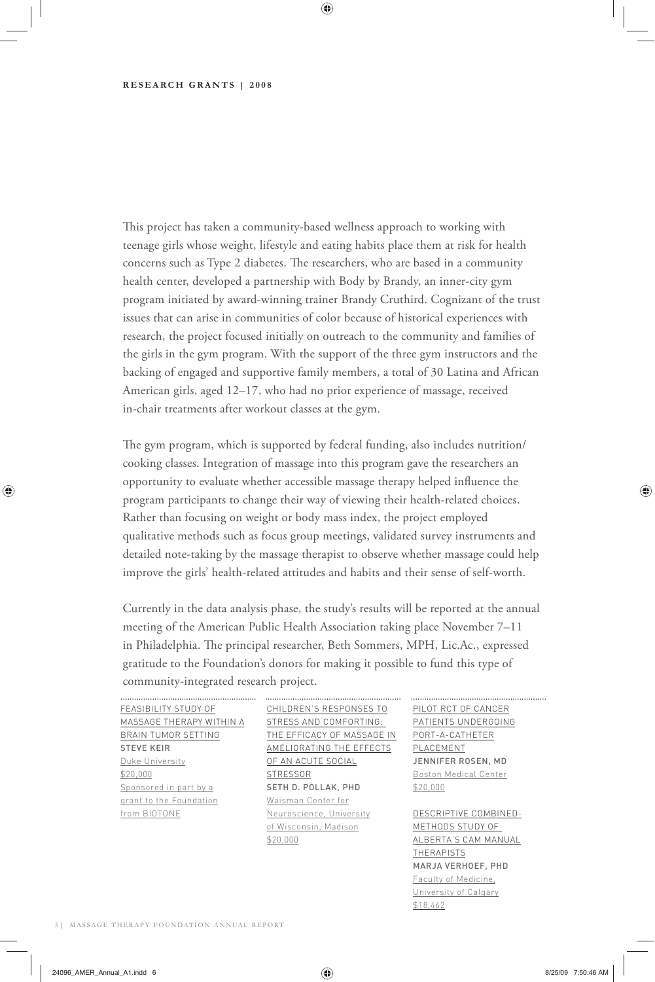### **RESEARCH GRANTS | 2008**

This project has taken a community-based wellness approach to working with teenage girls whose weight, lifestyle and eating habits place them at risk for health concerns such as Type 2 diabetes. The researchers, who are based in a community health center, developed a partnership with Body by Brandy, an inner-city gym program initiated by award-winning trainer Brandy Cruthird. Cognizant of the trust issues that can arise in communities of color because of historical experiences with research, the project focused initially on outreach to the community and families of the girls in the gym program. With the support of the three gym instructors and the backing of engaged and supportive family members, a total of 30 Latina and African American girls, aged 12–17, who had no prior experience of massage, received in-chair treatments after workout classes at the gym.

◈

The gym program, which is supported by federal funding, also includes nutrition/ cooking classes. Integration of massage into this program gave the researchers an opportunity to evaluate whether accessible massage therapy helped influence the program participants to change their way of viewing their health-related choices. Rather than focusing on weight or body mass index, the project employed qualitative methods such as focus group meetings, validated survey instruments and detailed note-taking by the massage therapist to observe whether massage could help improve the girls' health-related attitudes and habits and their sense of self-worth.

Currently in the data analysis phase, the study's results will be reported at the annual meeting of the American Public Health Association taking place November 7–11 in Philadelphia. The principal researcher, Beth Sommers, MPH, Lic.Ac., expressed gratitude to the Foundation's donors for making it possible to fund this type of community-integrated research project.

FEASIBILITY STUDY OF BRAIN TUMOR SETTING STEVE KEIR Duke University \$20,000 Sponsored in part by a grant to the Foundation from BIOTONE

MASSAGE THERAPY WITHIN A STRESS AND COMFORTING: CHILDREN'S RESPONSES TO PILOT RCT OF CANCER THE EFFICACY OF MASSAGE IN PORT-A-CATHETER AMELIORATING THE EFFECTS PLACEMENT OF AN ACUTE SOCIAL **STRESSOR** SETH D. POLLAK, PHD Waisman Center for Neuroscience, University of Wisconsin, Madison \$20,000

PATIENTS UNDERGOING JENNIFER ROSEN, MD Boston Medical Center \$20,000

DESCRIPTIVE COMBINED-METHODS STUDY OF ALBERTA'S CAM MANUAL THERAPISTS MARJA VERHOEF, PHD Faculty of Medicine, University of Calgary \$18,462

5 | MASSAGE THERAPY FOUNDATION ANNUAL REPORT

◈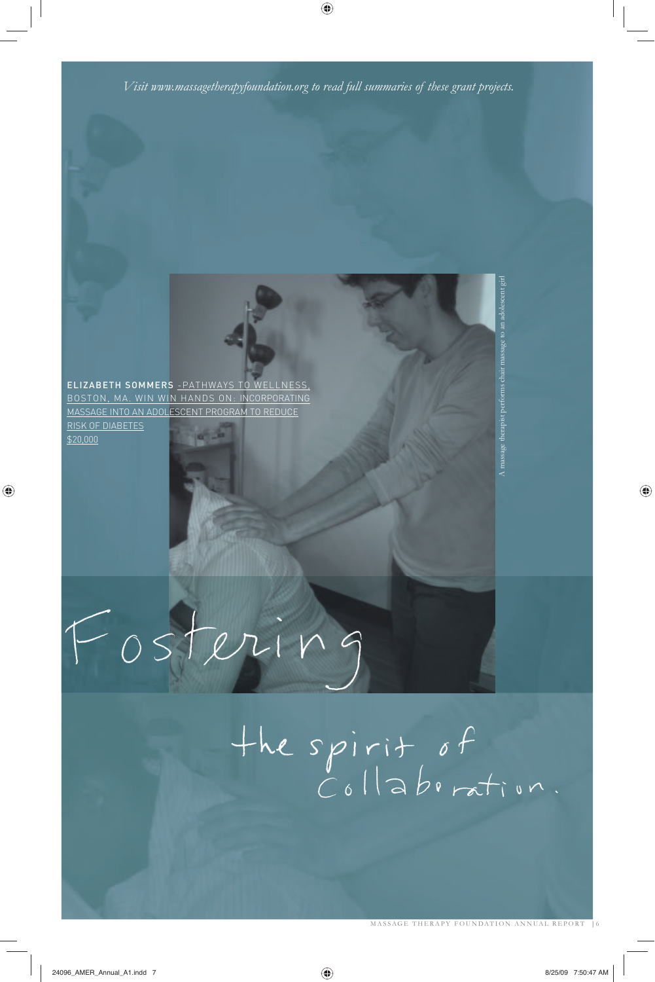

◈

◈

 $\bigoplus$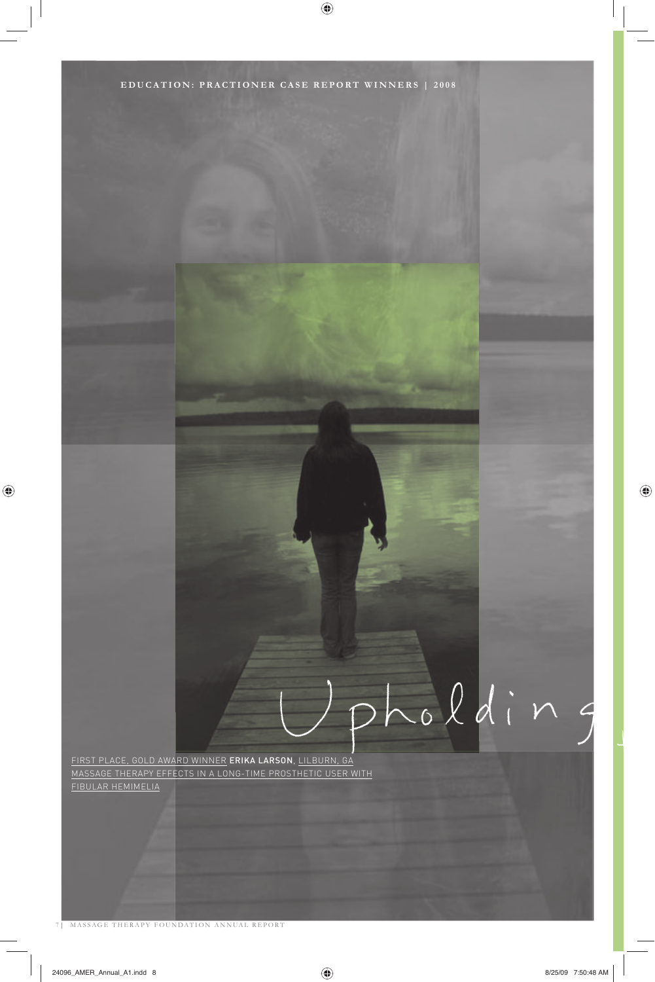

 $\bigoplus$ 

7 | MASSAGE THERAPY FOUNDATION ANNUAL REPORT

 $\bigoplus$ 

 $\bigoplus$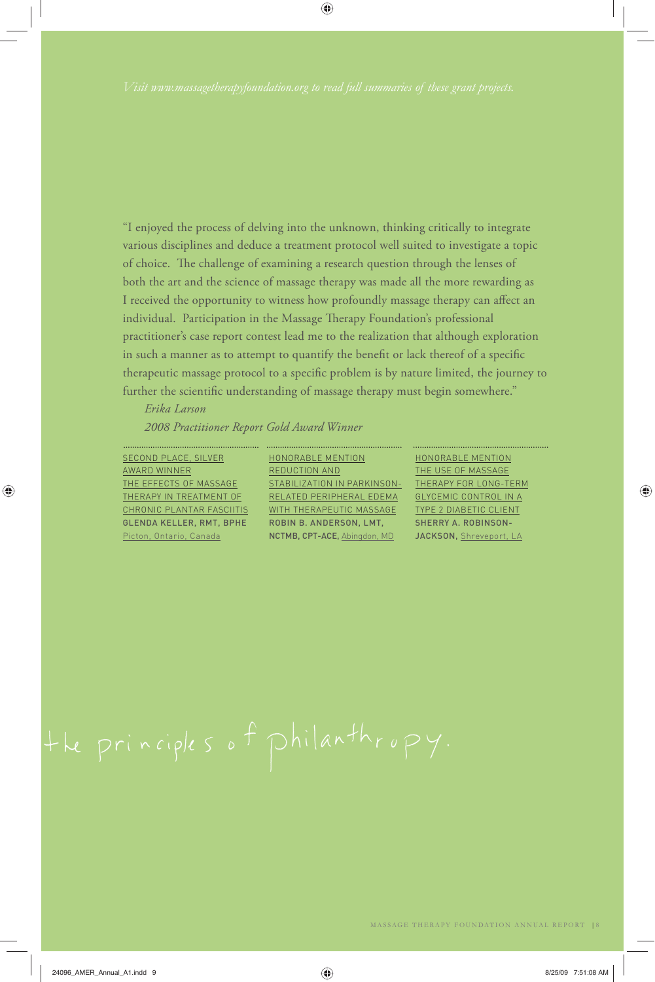◈

"I enjoyed the process of delving into the unknown, thinking critically to integrate various disciplines and deduce a treatment protocol well suited to investigate a topic of choice. The challenge of examining a research question through the lenses of both the art and the science of massage therapy was made all the more rewarding as I received the opportunity to witness how profoundly massage therapy can affect an individual. Participation in the Massage Therapy Foundation's professional practitioner's case report contest lead me to the realization that although exploration in such a manner as to attempt to quantify the benefit or lack thereof of a specific therapeutic massage protocol to a specific problem is by nature limited, the journey to further the scientific understanding of massage therapy must begin somewhere."

*Erika Larson 2008 Practitioner Report Gold Award Winner*

SECOND PLACE, SILVER AWARD WINNER THE EFFECTS OF MASSAGE THERAPY IN TREATMENT OF CHRONIC PLANTAR FASCIITIS GLENDA KELLER, RMT, BPHE Picton, Ontario, Canada

◈

HONORABLE MENTION REDUCTION AND <u>STABILIZATION IN PARKINSON-CTHERAPY FOR LONG-TERM</u> RELATED PERIPHERAL EDEMA WITH THERAPEUTIC MASSAGE ROBIN B. ANDERSON, LMT, NCTMB, CPT-ACE, Abingdon, MD

HONORABLE MENTION THE USE OF MASSAGE GLYCEMIC CONTROL IN A TYPE 2 DIABETIC CLIENT SHERRY A. ROBINSON-JACKSON, Shreveport, LA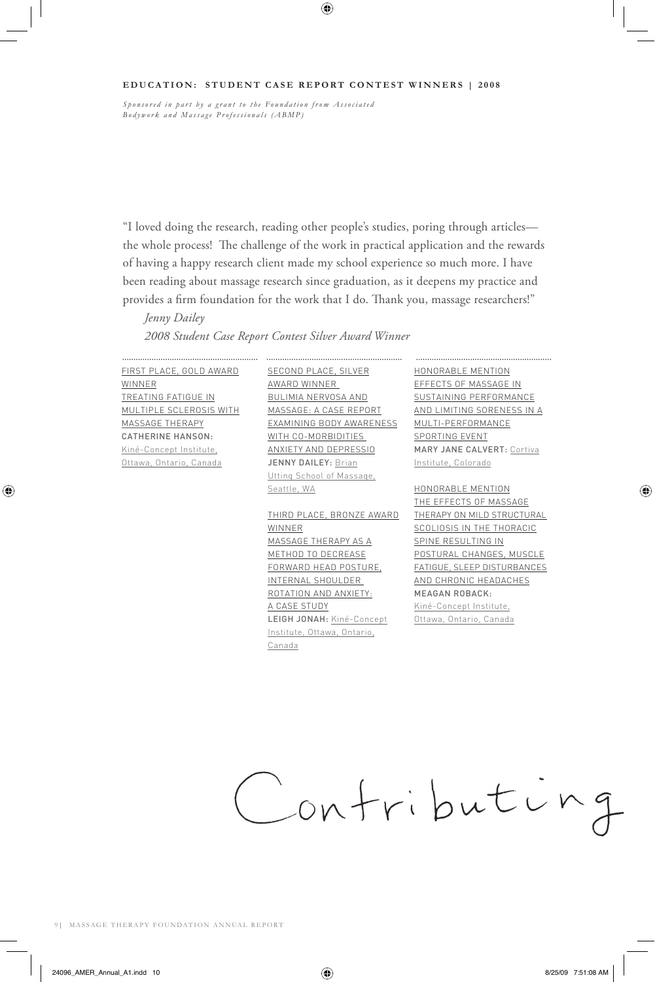### **EDUCATION: STUDENT CASE REPORT CONTEST WINNERS | 2008**

⊕

*Sponsored in part by a grant to the Foundation from Associated Bodywork and Massage Professionals (ABMP)*

"I loved doing the research, reading other people's studies, poring through articles the whole process! The challenge of the work in practical application and the rewards of having a happy research client made my school experience so much more. I have been reading about massage research since graduation, as it deepens my practice and provides a firm foundation for the work that I do. Thank you, massage researchers!"

 *Jenny Dailey*

### *2008 Student Case Report Contest Silver Award Winner*

FIRST PLACE, GOLD AWARD WINNER TREATING FATIGUE IN MULTIPLE SCLEROSIS WITH MASSAGE THERAPY CATHERINE HANSON: Kiné-Concept Institute, Ottawa, Ontario, Canada

⊕

SECOND PLACE, SILVER AWARD WINNER BULIMIA NERVOSA AND MASSAGE: A CASE REPORT EXAMINING BODY AWARENESS WITH CO-MORBIDITIES ANXIETY AND DEPRESSIO JENNY DAILEY: Brian Utting School of Massage, Seattle, WA

THIRD PLACE, BRONZE AWARD WINNER MASSAGE THERAPY AS A METHOD TO DECREASE FORWARD HEAD POSTURE, INTERNAL SHOULDER ROTATION AND ANXIETY: A CASE STUDY LEIGH JONAH: Kiné-Concept Institute, Ottawa, Ontario, Canada

HONORABLE MENTION EFFECTS OF MASSAGE IN SUSTAINING PERFORMANCE AND LIMITING SORENESS IN A MULTI-PERFORMANCE SPORTING EVENT MARY JANE CALVERT: Cortiva Institute, Colorado

HONORABLE MENTION THE EFFECTS OF MASSAGE THERAPY ON MILD STRUCTURAL SCOLIOSIS IN THE THORACIC SPINE RESULTING IN POSTURAL CHANGES, MUSCLE FATIGUE, SLEEP DISTURBANCES AND CHRONIC HEADACHES MEAGAN ROBACK: Kiné-Concept Institute,

Ottawa, Ontario, Canada



⊕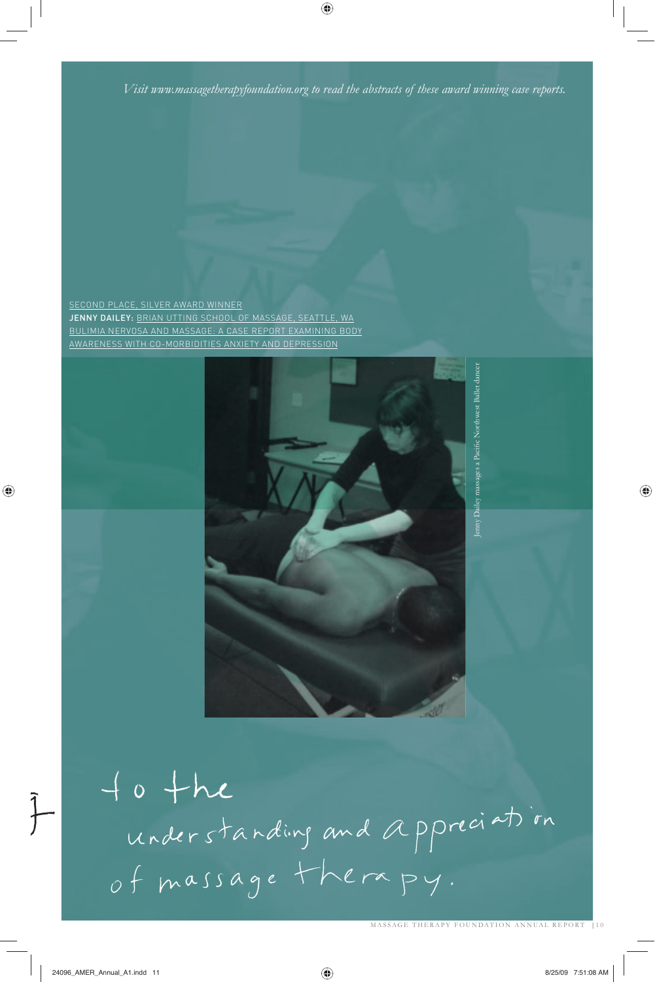*Visit www.massagetherapyfoundation.org to read the abstracts of these award winning case reports.*

◈

SECOND PLACE, SILVER AWARD WINNER JENNY DAILEY: BRIAN UTTING SCHOOL OF MASSAGE, SEATTLE, WA BULIMIA NERVOSA AND MASSAGE: A CASE REPORT EXAMINING BODY AWARENESS WITH CO-MORBIDITIES ANXIETY AND DEPRESSION



to the<br>understanding and appreciation of massage therapy.

◈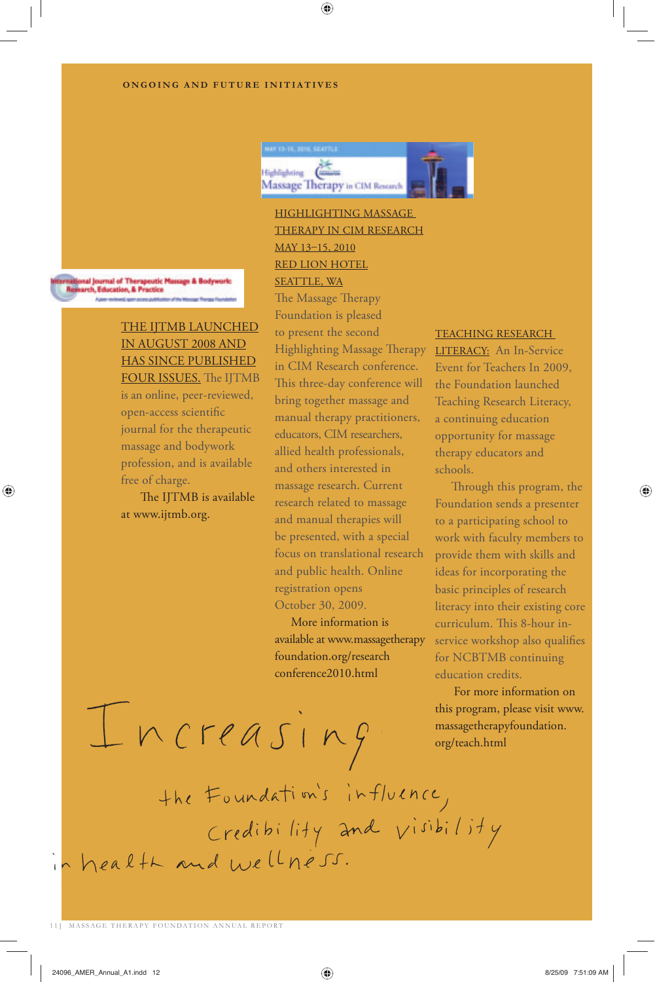### **ONGOING AND FUTURE INITIATIVES**



◈

HIGHLIGHTING MASSAGE THERAPY IN CIM RESEARCH MAY 13-15, 2010 RED LION HOTEL SEATTLE, WA

al Journal of Therapeutic Massage & Bodywork<br>rch, Education, & Practice

◈

### THE IJTMB LAUNCHED IN AUGUST 2008 AND HAS SINCE PUBLISHED FOUR ISSUES. The IJTMB

is an online, peer-reviewed, open-access scientific journal for the therapeutic massage and bodywork profession, and is available free of charge.

The IJTMB is available at www.ijtmb.org.

The Massage Therapy Foundation is pleased to present the second Highlighting Massage Therapy in CIM Research conference. This three-day conference will bring together massage and manual therapy practitioners, educators, CIM researchers, allied health professionals, and others interested in massage research. Current research related to massage and manual therapies will be presented, with a special focus on translational research and public health. Online registration opens October 30, 2009.

 More information is available at www.massagetherapy foundation.org/research conference2010.html

### TEACHING RESEARCH

LITERACY: An In-Service Event for Teachers In 2009, the Foundation launched Teaching Research Literacy, a continuing education opportunity for massage therapy educators and schools.

Through this program, the Foundation sends a presenter to a participating school to work with faculty members to provide them with skills and ideas for incorporating the basic principles of research literacy into their existing core curriculum. This 8-hour inservice workshop also qualifies for NCBTMB continuing education credits.

♠

 For more information on this program, please visit www. massagetherapyfoundation. org/teach.html

 $Increasing in g$ the Foundation's influence,<br>Credibility and visibility in health and wellness.

11 | MASSAGE THERAPY FOUNDATION ANNUAL REPORT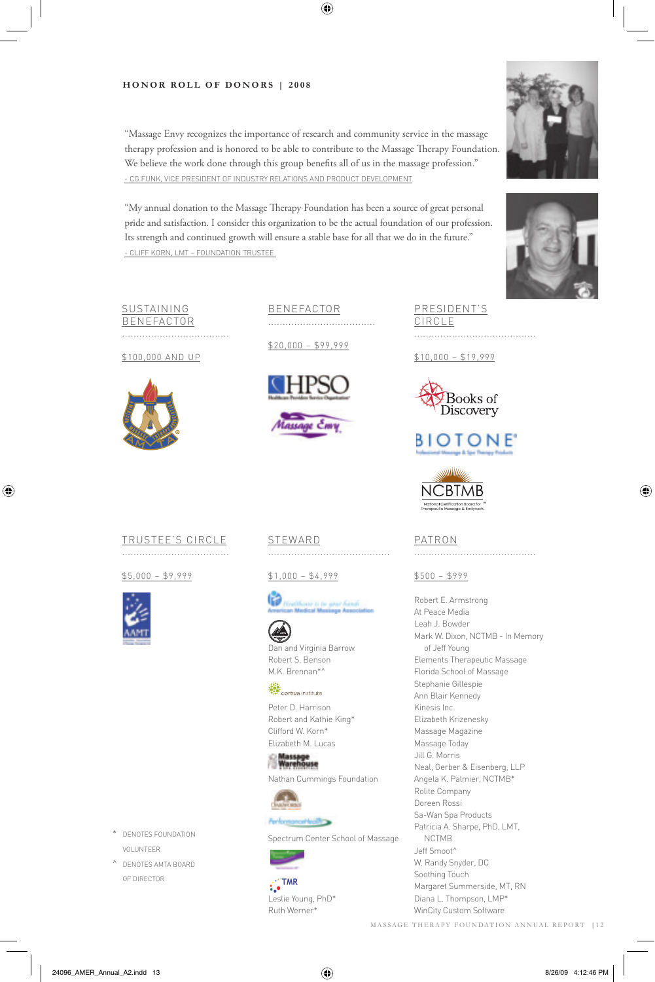### HONOR ROLL OF DONORS **HONOR ROLL OF DONORS | 2008**

"Massage Envy recognizes the importance of research and community service in the massage therapy profession and is honored to be able to contribute to the Massage Therapy Foundation. We believe the work done through this group benefits all of us in the massage profession." - CG FUNK, VICE PRESIDENT OF INDUSTRY RELATIONS AND PRODUCT DEVELOPMENT

 $\bigoplus$ 

"My annual donation to the Massage Therapy Foundation has been a source of great personal pride and satisfaction. I consider this organization to be the actual foundation of our profession. Its strength and continued growth will ensure a stable base for all that we do in the future." - CLIFF KORN, LMT – FOUNDATION TRUSTEE





⊕

### SUSTAINING **BENEFACTOR** .....................................

\$100,000 AND UP



BENEFACTOR .....................................

\$20,000 – \$99,999



PRESIDENT'S CIRCLE ..........................................

\$10,000 – \$19,999



### **BIOTONE**



### TRUSTEE'S CIRCLE

.....................................

\$5,000 – \$9,999



⊕

STEWARD ..........................................

\$1,000 – \$4,999





M.K. Brennan\*^ cortiva institute

Peter D. Harrison Robert and Kathie King\* Clifford W. Korn\* Elizabeth M. Lucas

ilassage<br>Narehouse Nathan Cummings Foundation



### certecting

Spectrum Center School of Massage

 $\ddot{\cdot}$  TMR Leslie Young, PhD\* Ruth Werner\*

### PATRON

..........................................

\$500 – \$999

Robert E. Armstrong At Peace Media Leah J. Bowder Mark W. Dixon, NCTMB - In Memory of Jeff Young Elements Therapeutic Massage Florida School of Massage Stephanie Gillespie Ann Blair Kennedy Kinesis Inc. Elizabeth Krizenesky Massage Magazine Massage Today Jill G. Morris Neal, Gerber & Eisenberg, LLP Angela K. Palmier, NCTMB\* Rolite Company Doreen Rossi Sa-Wan Spa Products Patricia A. Sharpe, PhD, LMT, NCTMB Jeff Smoot^ W. Randy Snyder, DC Soothing Touch Margaret Summerside, MT, RN Diana L. Thompson, LMP\* WinCity Custom Software MASSAGE THERAPY FOUNDATION ANNUAL REPORT |12

- \* DENOTES FOUNDATION VOLUNTEER
- ^ DENOTES AMTA BOARD OF DIRECTOR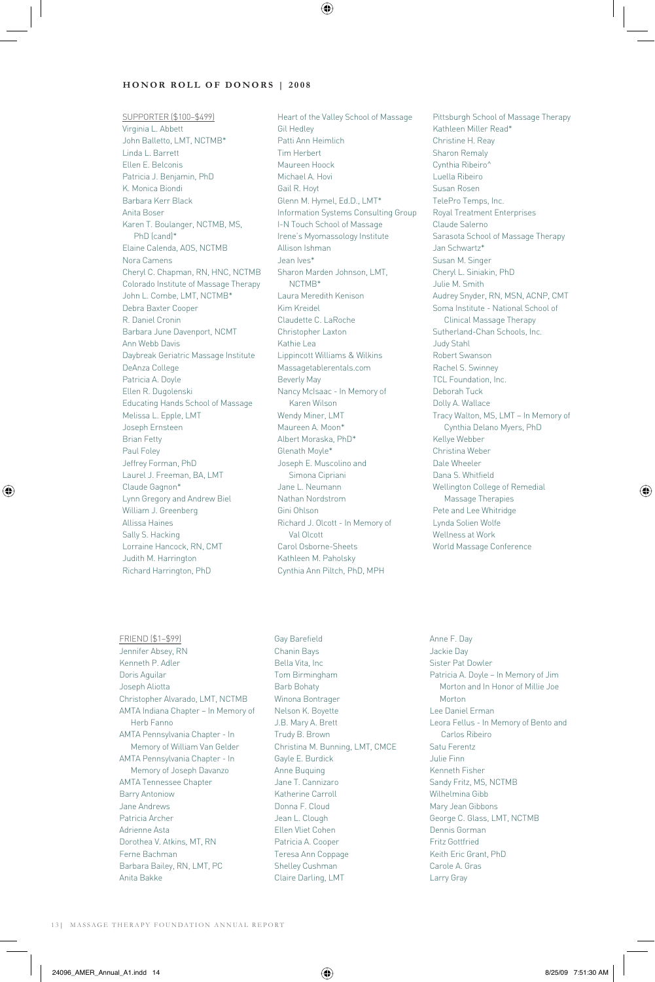### **HONOR ROLL OF DONORS | 2008**

SUPPORTER (\$100–\$499) Virginia L. Abbett John Balletto, LMT, NCTMB\* Linda L. Barrett Ellen E. Belconis Patricia J. Benjamin, PhD K. Monica Biondi Barbara Kerr Black Anita Boser Karen T. Boulanger, NCTMB, MS, PhD (cand)\* Elaine Calenda, AOS, NCTMB Nora Camens Cheryl C. Chapman, RN, HNC, NCTMB Colorado Institute of Massage Therapy John L. Combe, LMT, NCTMB\* Debra Baxter Cooper R. Daniel Cronin Barbara June Davenport, NCMT Ann Webb Davis Daybreak Geriatric Massage Institute DeAnza College Patricia A. Doyle Ellen R. Dugolenski Educating Hands School of Massage Melissa L. Epple, LMT Joseph Ernsteen Brian Fetty Paul Foley Jeffrey Forman, PhD Laurel J. Freeman, BA, LMT Claude Gagnon\* Lynn Gregory and Andrew Biel William J. Greenberg Allissa Haines Sally S. Hacking Lorraine Hancock, RN, CMT Judith M. Harrington Richard Harrington, PhD

Heart of the Valley School of Massage Gil Hedley Patti Ann Heimlich Tim Herbert Maureen Hoock Michael A. Hovi Gail R. Hoyt Glenn M. Hymel, Ed.D., LMT\* Information Systems Consulting Group I-N Touch School of Massage Irene's Myomassology Institute Allison Ishman Jean Ives\* Sharon Marden Johnson, LMT, NCTMB\* Laura Meredith Kenison Kim Kreidel Claudette C. LaRoche Christopher Laxton Kathie Lea Lippincott Williams & Wilkins Massagetablerentals.com Beverly May Nancy McIsaac - In Memory of Karen Wilson Wendy Miner, LMT Maureen A. Moon\* Albert Moraska, PhD\* Glenath Moyle\* Joseph E. Muscolino and Simona Cipriani Jane L. Neumann Nathan Nordstrom Gini Ohlson Richard J. Olcott - In Memory of Val Olcott Carol Osborne-Sheets Kathleen M. Paholsky Cynthia Ann Piltch, PhD, MPH

⊕

Pittsburgh School of Massage Therapy Kathleen Miller Read\* Christine H. Reay Sharon Remaly Cynthia Ribeiro^ Luella Ribeiro Susan Rosen TelePro Temps, Inc. Royal Treatment Enterprises Claude Salerno Sarasota School of Massage Therapy Jan Schwartz\* Susan M. Singer Cheryl L. Siniakin, PhD Julie M. Smith Audrey Snyder, RN, MSN, ACNP, CMT Soma Institute - National School of Clinical Massage Therapy Sutherland-Chan Schools, Inc. Judy Stahl Robert Swanson Rachel S. Swinney TCL Foundation, Inc. Deborah Tuck Dolly A. Wallace Tracy Walton, MS, LMT – In Memory of Cynthia Delano Myers, PhD Kellye Webber Christina Weber Dale Wheeler Dana S. Whitfield Wellington College of Remedial Massage Therapies Pete and Lee Whitridge Lynda Solien Wolfe Wellness at Work World Massage Conference

FRIEND (\$1–\$99) Jennifer Absey, RN Kenneth P. Adler Doris Aguilar Joseph Aliotta Christopher Alvarado, LMT, NCTMB AMTA Indiana Chapter – In Memory of Herb Fanno AMTA Pennsylvania Chapter - In Memory of William Van Gelder AMTA Pennsylvania Chapter - In Memory of Joseph Davanzo AMTA Tennessee Chapter Barry Antoniow Jane Andrews Patricia Archer Adrienne Asta Dorothea V. Atkins, MT, RN Ferne Bachman Barbara Bailey, RN, LMT, PC Anita Bakke

Gay Barefield Chanin Bays Bella Vita, Inc Tom Birmingham Barb Bohaty Winona Bontrager Nelson K. Boyette J.B. Mary A. Brett Trudy B. Brown Christina M. Bunning, LMT, CMCE Gayle E. Burdick Anne Buquing Jane T. Cannizaro Katherine Carroll Donna F. Cloud Jean L. Clough Ellen Vliet Cohen Patricia A. Cooper Teresa Ann Coppage Shelley Cushman Claire Darling, LMT

Anne F. Day Jackie Day Sister Pat Dowler Patricia A. Doyle – In Memory of Jim Morton and In Honor of Millie Joe Morton Lee Daniel Erman Leora Fellus - In Memory of Bento and Carlos Ribeiro Satu Ferentz Julie Finn Kenneth Fisher Sandy Fritz, MS, NCTMB Wilhelmina Gibb Mary Jean Gibbons George C. Glass, LMT, NCTMB Dennis Gorman Fritz Gottfried Keith Eric Grant, PhD Carole A. Gras Larry Gray

13 | MASSAGE THERAPY FOUNDATION ANNUAL REPORT

⊕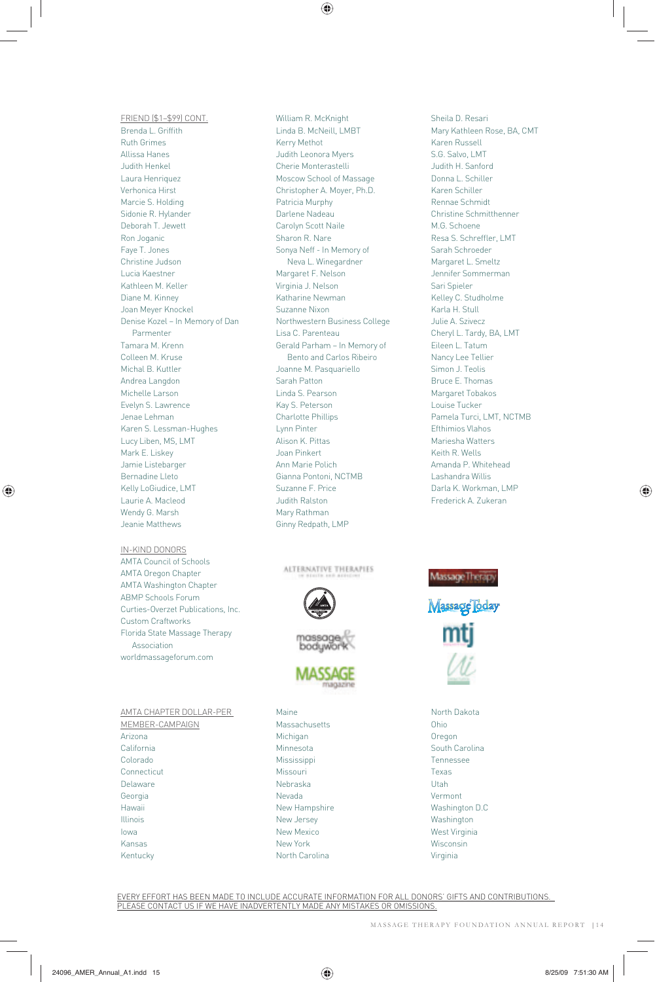$\bigcirc$ 

FRIEND (\$1–\$99) CONT. Brenda L. Griffith Ruth Grimes Allissa Hanes Judith Henkel Laura Henriquez Verhonica Hirst Marcie S. Holding Sidonie R. Hylander Deborah T. Jewett Ron Joganic Faye T. Jones Christine Judson Lucia Kaestner Kathleen M. Keller Diane M. Kinney Joan Meyer Knockel Denise Kozel – In Memory of Dan Parmenter Tamara M. Krenn Colleen M. Kruse Michal B. Kuttler Andrea Langdon Michelle Larson Evelyn S. Lawrence Jenae Lehman Karen S. Lessman-Hughes Lucy Liben, MS, LMT Mark E. Liskey Jamie Listebarger Bernadine Lleto Kelly LoGiudice, LMT Laurie A. Macleod Wendy G. Marsh Jeanie Matthews

IN-KIND DONORS AMTA Council of Schools AMTA Oregon Chapter AMTA Washington Chapter ABMP Schools Forum Curties-Overzet Publications, Inc. Custom Craftworks Florida State Massage Therapy Association worldmassageforum.com

⊕

AMTA CHAPTER DOLLAR-PER MEMBER-CAMPAIGN Arizona California Colorado **Connecticut** Delaware Georgia Hawaii Illinois Iowa Kansas

Kentucky

William R. McKnight Linda B. McNeill, LMBT Kerry Methot Judith Leonora Myers Cherie Monterastelli Moscow School of Massage Christopher A. Moyer, Ph.D. Patricia Murphy Darlene Nadeau Carolyn Scott Naile Sharon R. Nare Sonya Neff - In Memory of Neva L. Winegardner Margaret F. Nelson Virginia J. Nelson Katharine Newman Suzanne Nixon Northwestern Business College Lisa C. Parenteau Gerald Parham – In Memory of Bento and Carlos Ribeiro Joanne M. Pasquariello Sarah Patton Linda S. Pearson Kay S. Peterson Charlotte Phillips Lynn Pinter Alison K. Pittas Joan Pinkert Ann Marie Polich Gianna Pontoni, NCTMB Suzanne F. Price Judith Ralston Mary Rathman Ginny Redpath, LMP

ALTERNATIVE THERAPIES







Maine Massachusetts Michigan Minnesota Mississippi Missouri Nebraska Nevada New Hampshire New Jersey New Mexico New York North Carolina

Sheila D. Resari Mary Kathleen Rose, BA, CMT Karen Russell S.G. Salvo, LMT Judith H. Sanford Donna L. Schiller Karen Schiller Rennae Schmidt Christine Schmitthenner M.G. Schoene Resa S. Schreffler, LMT Sarah Schroeder Margaret L. Smeltz Jennifer Sommerman Sari Spieler Kelley C. Studholme Karla H. Stull Julie A. Szivecz Cheryl L. Tardy, BA, LMT Eileen L. Tatum Nancy Lee Tellier Simon J. Teolis Bruce E. Thomas Margaret Tobakos Louise Tucker Pamela Turci, LMT, NCTMB Efthimios Vlahos Mariesha Watters Keith R. Wells Amanda P. Whitehead Lashandra Willis Darla K. Workman, LMP Frederick A. Zukeran



North Dakota Ohio Oregon South Carolina Tennessee Texas Utah Vermont Washington D.C Washington West Virginia Wisconsin Virginia

EVERY EFFORT HAS BEEN MADE TO INCLUDE ACCURATE INFORMATION FOR ALL DONORS' GIFTS AND CONTRIBUTIONS. PLEASE CONTACT US IF WE HAVE INADVERTENTLY MADE ANY MISTAKES OR OMISSIONS.

MASSAGE THERAPY FOUNDATION ANNUAL REPORT | 1 4